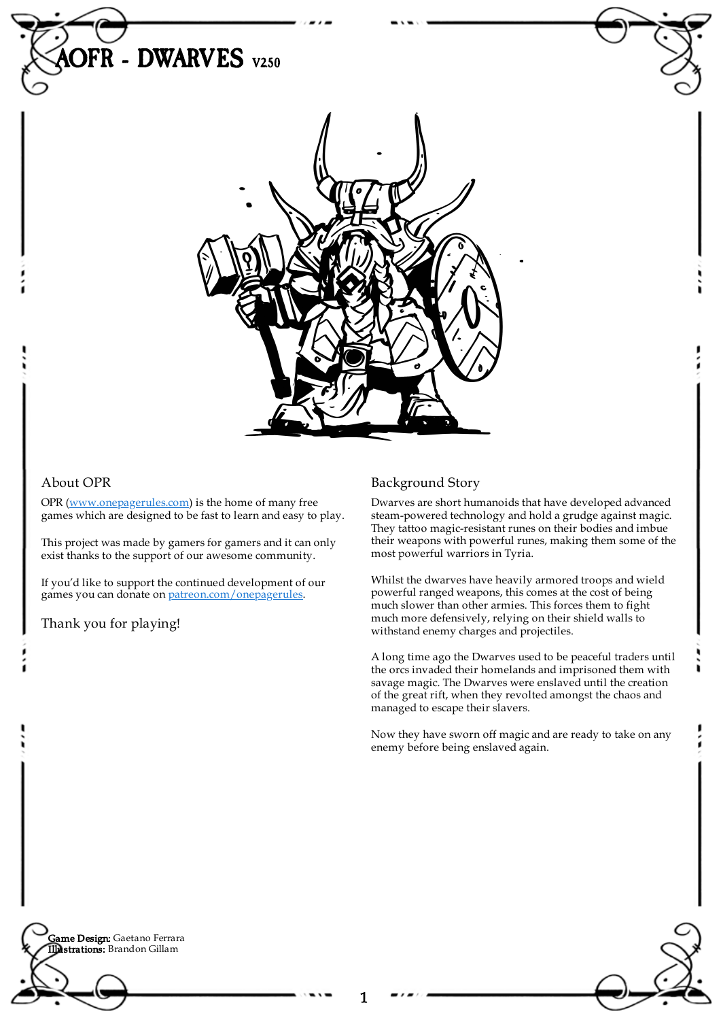

## About OPR

OPR [\(www.onepagerules.com](https://webapp.onepagerules.com/army-books/view/RJDq2ZD7wjlAcUVB~6/https//www.onepagerules.com)) is the home of many free games which are designed to be fast to learn and easy to play.

This project was made by gamers for gamers and it can only exist thanks to the support of our awesome community.

If you'd like to support the continued development of our games you can donate on [patreon.com/onepagerules](https://www.patreon.com/onepagerules).

Thank you for playing!

## Background Story

Dwarves are short humanoids that have developed advanced steam-powered technology and hold a grudge against magic. They tattoo magic-resistant runes on their bodies and imbue their weapons with powerful runes, making them some of the most powerful warriors in Tyria.

Whilst the dwarves have heavily armored troops and wield powerful ranged weapons, this comes at the cost of being much slower than other armies. This forces them to fight much more defensively, relying on their shield walls to withstand enemy charges and projectiles.

A long time ago the Dwarves used to be peaceful traders until the orcs invaded their homelands and imprisoned them with savage magic. The Dwarves were enslaved until the creation of the great rift, when they revolted amongst the chaos and managed to escape their slavers.

Now they have sworn off magic and are ready to take on any enemy before being enslaved again.

**Game Design:** Gaetano Ferrara Illustrations: Brandon Gillam



٠